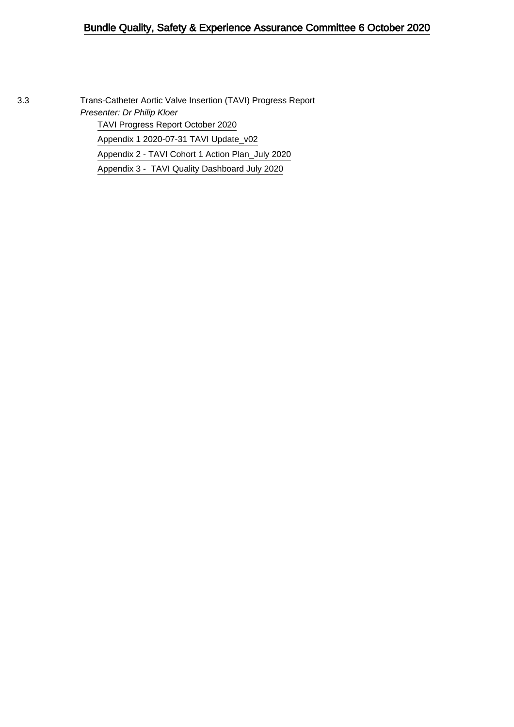## Bundle Quality, Safety & Experience Assurance Committee 6 October 2020

3.3 Trans-Catheter Aortic Valve Insertion (TAVI) Progress Report Presenter: Dr Philip Kloer [TAVI Progress Report October 2020](#page-1-0) [Appendix 1 2020-07-31 TAVI Update\\_v02](#page-4-0) [Appendix 2 - TAVI Cohort 1 Action Plan\\_July 2020](#page-9-0) [Appendix 3 - TAVI Quality Dashboard July 2020](#page-18-0)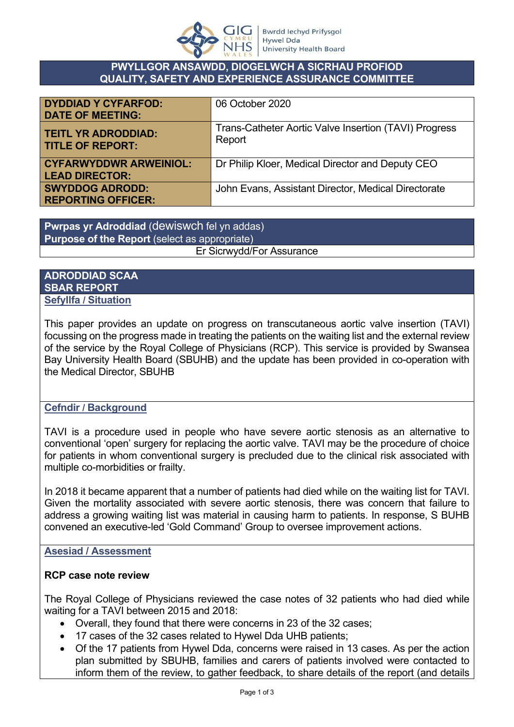

### **PWYLLGOR ANSAWDD, DIOGELWCH A SICRHAU PROFIOD QUALITY, SAFETY AND EXPERIENCE ASSURANCE COMMITTEE**

<span id="page-1-0"></span>

| <b>DYDDIAD Y CYFARFOD:</b><br><b>DATE OF MEETING:</b>  | 06 October 2020                                                 |
|--------------------------------------------------------|-----------------------------------------------------------------|
| <b>TEITL YR ADRODDIAD:</b><br><b>TITLE OF REPORT:</b>  | Trans-Catheter Aortic Valve Insertion (TAVI) Progress<br>Report |
| <b>CYFARWYDDWR ARWEINIOL:</b><br><b>LEAD DIRECTOR:</b> | Dr Philip Kloer, Medical Director and Deputy CEO                |
| <b>SWYDDOG ADRODD:</b><br><b>REPORTING OFFICER:</b>    | John Evans, Assistant Director, Medical Directorate             |

**Pwrpas yr Adroddiad** (dewiswch fel yn addas) **Purpose of the Report** (select as appropriate) Er Sicrwydd/For Assurance

## **ADRODDIAD SCAA SBAR REPORT Sefyllfa / Situation**

This paper provides an update on progress on transcutaneous aortic valve insertion (TAVI) focussing on the progress made in treating the patients on the waiting list and the external review of the service by the Royal College of Physicians (RCP). This service is provided by Swansea Bay University Health Board (SBUHB) and the update has been provided in co-operation with the Medical Director, SBUHB

## **Cefndir / Background**

TAVI is a procedure used in people who have severe aortic stenosis as an alternative to conventional 'open' surgery for replacing the aortic valve. TAVI may be the procedure of choice for patients in whom conventional surgery is precluded due to the clinical risk associated with multiple co-morbidities or frailty.

In 2018 it became apparent that a number of patients had died while on the waiting list for TAVI. Given the mortality associated with severe aortic stenosis, there was concern that failure to address a growing waiting list was material in causing harm to patients. In response, S BUHB convened an executive-led 'Gold Command' Group to oversee improvement actions.

## **Asesiad / Assessment**

## **RCP case note review**

The Royal College of Physicians reviewed the case notes of 32 patients who had died while waiting for a TAVI between 2015 and 2018:

- Overall, they found that there were concerns in 23 of the 32 cases;
- 17 cases of the 32 cases related to Hywel Dda UHB patients;
- Of the 17 patients from Hywel Dda, concerns were raised in 13 cases. As per the action plan submitted by SBUHB, families and carers of patients involved were contacted to inform them of the review, to gather feedback, to share details of the report (and details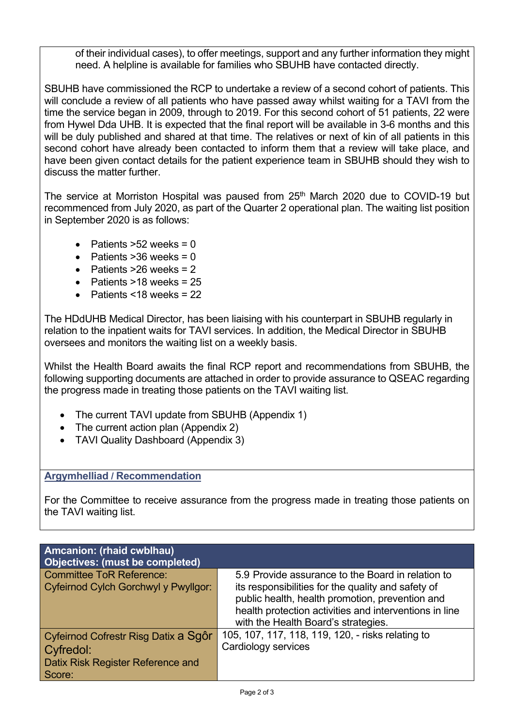of their individual cases), to offer meetings, support and any further information they might need. A helpline is available for families who SBUHB have contacted directly.

SBUHB have commissioned the RCP to undertake a review of a second cohort of patients. This will conclude a review of all patients who have passed away whilst waiting for a TAVI from the time the service began in 2009, through to 2019. For this second cohort of 51 patients, 22 were from Hywel Dda UHB. It is expected that the final report will be available in 3-6 months and this will be duly published and shared at that time. The relatives or next of kin of all patients in this second cohort have already been contacted to inform them that a review will take place, and have been given contact details for the patient experience team in SBUHB should they wish to discuss the matter further.

The service at Morriston Hospital was paused from 25<sup>th</sup> March 2020 due to COVID-19 but recommenced from July 2020, as part of the Quarter 2 operational plan. The waiting list position in September 2020 is as follows:

- Patients  $>52$  weeks = 0
- Patients  $>36$  weeks = 0
- Patients  $>26$  weeks = 2
- Patients  $>18$  weeks = 25
- Patients <18 weeks =  $22$

The HDdUHB Medical Director, has been liaising with his counterpart in SBUHB regularly in relation to the inpatient waits for TAVI services. In addition, the Medical Director in SBUHB oversees and monitors the waiting list on a weekly basis.

Whilst the Health Board awaits the final RCP report and recommendations from SBUHB, the following supporting documents are attached in order to provide assurance to QSEAC regarding the progress made in treating those patients on the TAVI waiting list.

- The current TAVI update from SBUHB (Appendix 1)
- The current action plan (Appendix 2)
- TAVI Quality Dashboard (Appendix 3)

### **Argymhelliad / Recommendation**

For the Committee to receive assurance from the progress made in treating those patients on the TAVI waiting list.

| Amcanion: (rhaid cwblhau)<br>Objectives: (must be completed) |                                                                                                                                                                                                        |
|--------------------------------------------------------------|--------------------------------------------------------------------------------------------------------------------------------------------------------------------------------------------------------|
| <b>Committee ToR Reference:</b>                              | 5.9 Provide assurance to the Board in relation to                                                                                                                                                      |
| Cyfeirnod Cylch Gorchwyl y Pwyllgor:                         | its responsibilities for the quality and safety of<br>public health, health promotion, prevention and<br>health protection activities and interventions in line<br>with the Health Board's strategies. |
| Cyfeirnod Cofrestr Risg Datix a Sgôr                         | 105, 107, 117, 118, 119, 120, - risks relating to                                                                                                                                                      |
| Cyfredol:                                                    | Cardiology services                                                                                                                                                                                    |
| Datix Risk Register Reference and<br>Score:                  |                                                                                                                                                                                                        |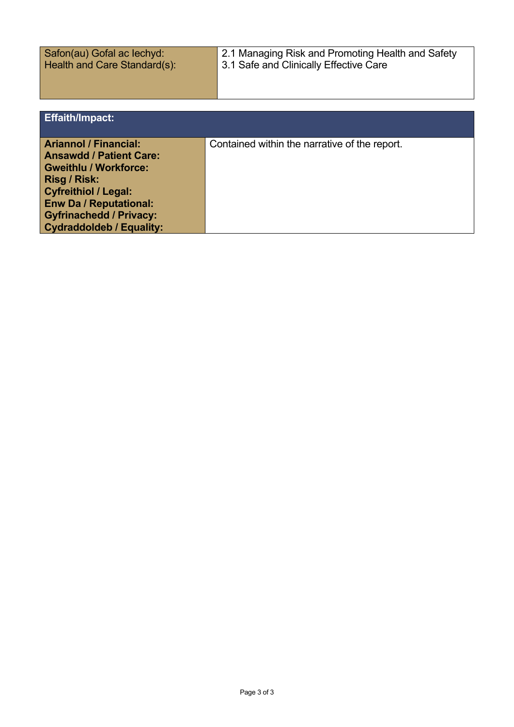Safon(au) Gofal ac Iechyd: Health and Care Standard(s): 2.1 Managing Risk and Promoting Health and Safety 3.1 Safe and Clinically Effective Care

| <b>Effaith/Impact:</b>                                                                                                                                                                                                                              |                                               |
|-----------------------------------------------------------------------------------------------------------------------------------------------------------------------------------------------------------------------------------------------------|-----------------------------------------------|
| <b>Ariannol / Financial:</b><br><b>Ansawdd / Patient Care:</b><br><b>Gweithlu / Workforce:</b><br>Risg / Risk:<br><b>Cyfreithiol / Legal:</b><br><b>Enw Da / Reputational:</b><br><b>Gyfrinachedd / Privacy:</b><br><b>Cydraddoldeb / Equality:</b> | Contained within the narrative of the report. |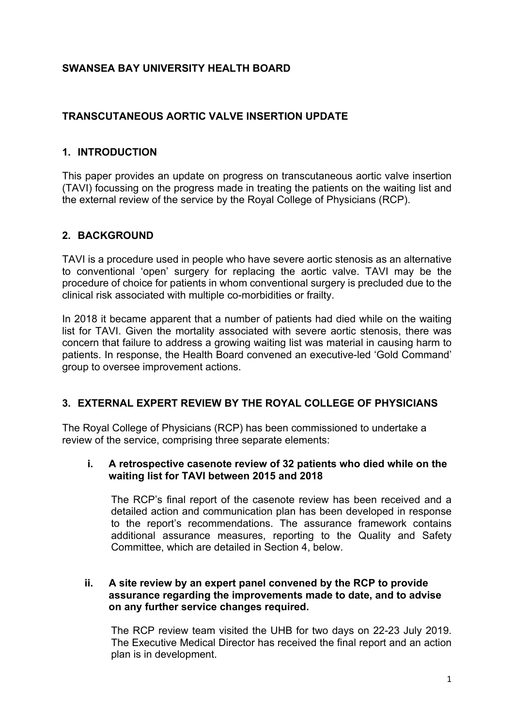# <span id="page-4-0"></span>**SWANSEA BAY UNIVERSITY HEALTH BOARD**

# **TRANSCUTANEOUS AORTIC VALVE INSERTION UPDATE**

## **1. INTRODUCTION**

This paper provides an update on progress on transcutaneous aortic valve insertion (TAVI) focussing on the progress made in treating the patients on the waiting list and the external review of the service by the Royal College of Physicians (RCP).

### **2. BACKGROUND**

TAVI is a procedure used in people who have severe aortic stenosis as an alternative to conventional 'open' surgery for replacing the aortic valve. TAVI may be the procedure of choice for patients in whom conventional surgery is precluded due to the clinical risk associated with multiple co-morbidities or frailty.

In 2018 it became apparent that a number of patients had died while on the waiting list for TAVI. Given the mortality associated with severe aortic stenosis, there was concern that failure to address a growing waiting list was material in causing harm to patients. In response, the Health Board convened an executive-led 'Gold Command' group to oversee improvement actions.

### **3. EXTERNAL EXPERT REVIEW BY THE ROYAL COLLEGE OF PHYSICIANS**

The Royal College of Physicians (RCP) has been commissioned to undertake a review of the service, comprising three separate elements:

### **i. A retrospective casenote review of 32 patients who died while on the waiting list for TAVI between 2015 and 2018**

The RCP's final report of the casenote review has been received and a detailed action and communication plan has been developed in response to the report's recommendations. The assurance framework contains additional assurance measures, reporting to the Quality and Safety Committee, which are detailed in Section 4, below.

#### **ii. A site review by an expert panel convened by the RCP to provide assurance regarding the improvements made to date, and to advise on any further service changes required.**

The RCP review team visited the UHB for two days on 22-23 July 2019. The Executive Medical Director has received the final report and an action plan is in development.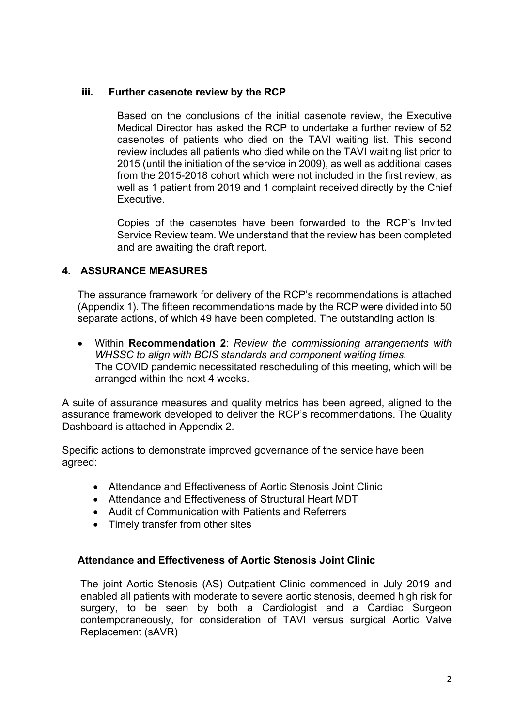## **iii. Further casenote review by the RCP**

Based on the conclusions of the initial casenote review, the Executive Medical Director has asked the RCP to undertake a further review of 52 casenotes of patients who died on the TAVI waiting list. This second review includes all patients who died while on the TAVI waiting list prior to 2015 (until the initiation of the service in 2009), as well as additional cases from the 2015-2018 cohort which were not included in the first review, as well as 1 patient from 2019 and 1 complaint received directly by the Chief Executive.

Copies of the casenotes have been forwarded to the RCP's Invited Service Review team. We understand that the review has been completed and are awaiting the draft report.

# **4. ASSURANCE MEASURES**

The assurance framework for delivery of the RCP's recommendations is attached (Appendix 1). The fifteen recommendations made by the RCP were divided into 50 separate actions, of which 49 have been completed. The outstanding action is:

 Within **Recommendation 2**: *Review the commissioning arrangements with WHSSC to align with BCIS standards and component waiting times.* The COVID pandemic necessitated rescheduling of this meeting, which will be arranged within the next 4 weeks.

A suite of assurance measures and quality metrics has been agreed, aligned to the assurance framework developed to deliver the RCP's recommendations. The Quality Dashboard is attached in Appendix 2.

Specific actions to demonstrate improved governance of the service have been agreed:

- Attendance and Effectiveness of Aortic Stenosis Joint Clinic
- Attendance and Effectiveness of Structural Heart MDT
- Audit of Communication with Patients and Referrers
- Timely transfer from other sites

## **Attendance and Effectiveness of Aortic Stenosis Joint Clinic**

The joint Aortic Stenosis (AS) Outpatient Clinic commenced in July 2019 and enabled all patients with moderate to severe aortic stenosis, deemed high risk for surgery, to be seen by both a Cardiologist and a Cardiac Surgeon contemporaneously, for consideration of TAVI versus surgical Aortic Valve Replacement (sAVR)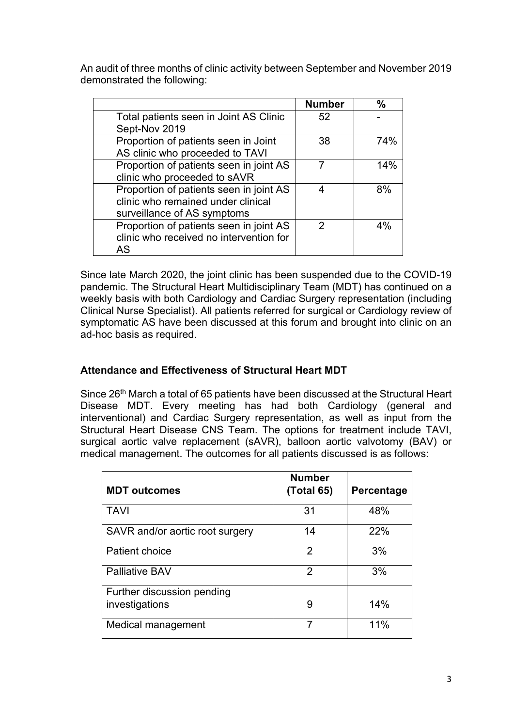An audit of three months of clinic activity between September and November 2019 demonstrated the following:

|                                         | <b>Number</b> | %   |
|-----------------------------------------|---------------|-----|
| Total patients seen in Joint AS Clinic  | 52            |     |
| Sept-Nov 2019                           |               |     |
| Proportion of patients seen in Joint    | 38            | 74% |
| AS clinic who proceeded to TAVI         |               |     |
| Proportion of patients seen in joint AS |               | 14% |
| clinic who proceeded to sAVR            |               |     |
| Proportion of patients seen in joint AS |               | 8%  |
| clinic who remained under clinical      |               |     |
| surveillance of AS symptoms             |               |     |
| Proportion of patients seen in joint AS | 2             | 4%  |
| clinic who received no intervention for |               |     |
| AS                                      |               |     |

Since late March 2020, the joint clinic has been suspended due to the COVID-19 pandemic. The Structural Heart Multidisciplinary Team (MDT) has continued on a weekly basis with both Cardiology and Cardiac Surgery representation (including Clinical Nurse Specialist). All patients referred for surgical or Cardiology review of symptomatic AS have been discussed at this forum and brought into clinic on an ad-hoc basis as required.

# **Attendance and Effectiveness of Structural Heart MDT**

Since 26<sup>th</sup> March a total of 65 patients have been discussed at the Structural Heart Disease MDT. Every meeting has had both Cardiology (general and interventional) and Cardiac Surgery representation, as well as input from the Structural Heart Disease CNS Team. The options for treatment include TAVI, surgical aortic valve replacement (sAVR), balloon aortic valvotomy (BAV) or medical management. The outcomes for all patients discussed is as follows:

| <b>MDT</b> outcomes             | <b>Number</b><br>(Total 65) | Percentage |
|---------------------------------|-----------------------------|------------|
| <b>TAVI</b>                     | 31                          | 48%        |
| SAVR and/or aortic root surgery | 14                          | 22%        |
| Patient choice                  | $\overline{2}$              | 3%         |
| <b>Palliative BAV</b>           | 2                           | 3%         |
| Further discussion pending      |                             |            |
| investigations                  | 9                           | 14%        |
| Medical management              | 7                           | 11%        |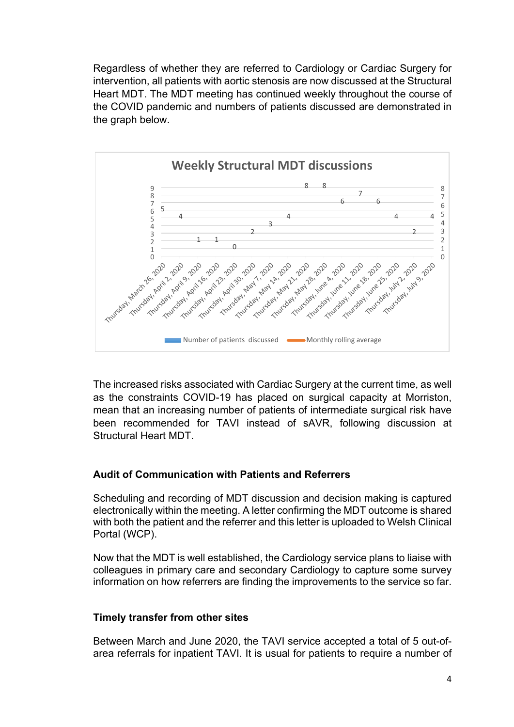Regardless of whether they are referred to Cardiology or Cardiac Surgery for intervention, all patients with aortic stenosis are now discussed at the Structural Heart MDT. The MDT meeting has continued weekly throughout the course of the COVID pandemic and numbers of patients discussed are demonstrated in the graph below.



The increased risks associated with Cardiac Surgery at the current time, as well as the constraints COVID-19 has placed on surgical capacity at Morriston, mean that an increasing number of patients of intermediate surgical risk have been recommended for TAVI instead of sAVR, following discussion at Structural Heart MDT.

## **Audit of Communication with Patients and Referrers**

Scheduling and recording of MDT discussion and decision making is captured electronically within the meeting. A letter confirming the MDT outcome is shared with both the patient and the referrer and this letter is uploaded to Welsh Clinical Portal (WCP).

Now that the MDT is well established, the Cardiology service plans to liaise with colleagues in primary care and secondary Cardiology to capture some survey information on how referrers are finding the improvements to the service so far.

### **Timely transfer from other sites**

Between March and June 2020, the TAVI service accepted a total of 5 out-ofarea referrals for inpatient TAVI. It is usual for patients to require a number of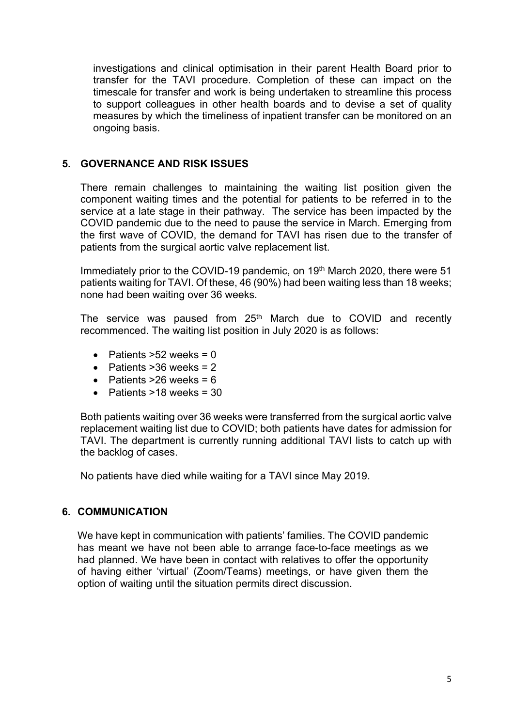investigations and clinical optimisation in their parent Health Board prior to transfer for the TAVI procedure. Completion of these can impact on the timescale for transfer and work is being undertaken to streamline this process to support colleagues in other health boards and to devise a set of quality measures by which the timeliness of inpatient transfer can be monitored on an ongoing basis.

## **5. GOVERNANCE AND RISK ISSUES**

There remain challenges to maintaining the waiting list position given the component waiting times and the potential for patients to be referred in to the service at a late stage in their pathway. The service has been impacted by the COVID pandemic due to the need to pause the service in March. Emerging from the first wave of COVID, the demand for TAVI has risen due to the transfer of patients from the surgical aortic valve replacement list.

Immediately prior to the COVID-19 pandemic, on 19<sup>th</sup> March 2020, there were 51 patients waiting for TAVI. Of these, 46 (90%) had been waiting less than 18 weeks; none had been waiting over 36 weeks.

The service was paused from 25<sup>th</sup> March due to COVID and recently recommenced. The waiting list position in July 2020 is as follows:

- Patients  $>52$  weeks = 0
- Patients  $>36$  weeks = 2
- Patients  $>26$  weeks = 6
- Patients  $>18$  weeks = 30

Both patients waiting over 36 weeks were transferred from the surgical aortic valve replacement waiting list due to COVID; both patients have dates for admission for TAVI. The department is currently running additional TAVI lists to catch up with the backlog of cases.

No patients have died while waiting for a TAVI since May 2019.

### **6. COMMUNICATION**

We have kept in communication with patients' families. The COVID pandemic has meant we have not been able to arrange face-to-face meetings as we had planned. We have been in contact with relatives to offer the opportunity of having either 'virtual' (Zoom/Teams) meetings, or have given them the option of waiting until the situation permits direct discussion.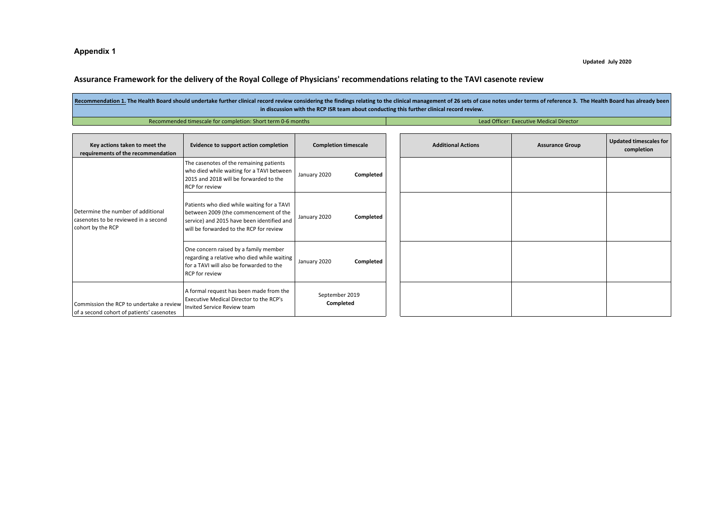#### **Appendix 1**

#### **Updated July 2020**

#### Assurance Framework for the delivery of the Royal College of Physicians' recommendations relating to the TAVI casenote review

| Recommendation 1. The Health Board should undertake further clinical record review considering the findings relating to the clinical management of 26 sets of case notes under terms of reference 3. The Health Board has alre<br>in discussion with the RCP ISR team about conducting this further clinical record review. |  |  |  |  |
|-----------------------------------------------------------------------------------------------------------------------------------------------------------------------------------------------------------------------------------------------------------------------------------------------------------------------------|--|--|--|--|
| Lead Officer: Executive Medical Director<br>Recommended timescale for completion: Short term 0-6 months                                                                                                                                                                                                                     |  |  |  |  |
|                                                                                                                                                                                                                                                                                                                             |  |  |  |  |

<span id="page-9-0"></span>

| Key actions taken to meet the<br>requirements of the recommendation                             | Evidence to support action completion                                                                                                                                        | <b>Completion timescale</b> | <b>Additional Actions</b> | <b>Assurance Group</b> | <b>Updated timescales for</b><br>completion |
|-------------------------------------------------------------------------------------------------|------------------------------------------------------------------------------------------------------------------------------------------------------------------------------|-----------------------------|---------------------------|------------------------|---------------------------------------------|
|                                                                                                 | The casenotes of the remaining patients<br>who died while waiting for a TAVI between<br>2015 and 2018 will be forwarded to the<br>RCP for review                             | January 2020<br>Completed   |                           |                        |                                             |
| Determine the number of additional<br>casenotes to be reviewed in a second<br>cohort by the RCP | Patients who died while waiting for a TAVI<br>between 2009 (the commencement of the<br>service) and 2015 have been identified and<br>will be forwarded to the RCP for review | January 2020<br>Completed   |                           |                        |                                             |
|                                                                                                 | One concern raised by a family member<br>regarding a relative who died while waiting<br>for a TAVI will also be forwarded to the<br><b>RCP</b> for review                    | January 2020<br>Completed   |                           |                        |                                             |
| Commission the RCP to undertake a review<br>of a second cohort of patients' casenotes           | A formal request has been made from the<br>Executive Medical Director to the RCP's<br>Invited Service Review team                                                            | September 2019<br>Completed |                           |                        |                                             |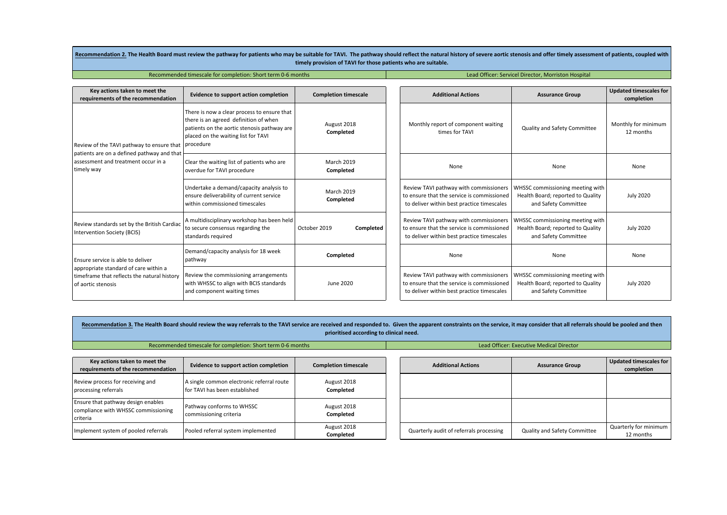|                                                                                                                                                 | RECOMMENDATION 2. The Health Doard must review the pathway for patients who may be suitable for TAVI. The pathway should reflect the natural history of severe abruc stenosis and offer timely assessment of patients, coupled<br>timely provision of TAVI for those patients who are suitable. |                                |  |                                                                                                                                    |                                                                                               |                                             |  |
|-------------------------------------------------------------------------------------------------------------------------------------------------|-------------------------------------------------------------------------------------------------------------------------------------------------------------------------------------------------------------------------------------------------------------------------------------------------|--------------------------------|--|------------------------------------------------------------------------------------------------------------------------------------|-----------------------------------------------------------------------------------------------|---------------------------------------------|--|
|                                                                                                                                                 | Recommended timescale for completion: Short term 0-6 months                                                                                                                                                                                                                                     |                                |  | Lead Officer: Servicel Director, Morriston Hospital                                                                                |                                                                                               |                                             |  |
| Key actions taken to meet the<br>requirements of the recommendation                                                                             | Evidence to support action completion                                                                                                                                                                                                                                                           | <b>Completion timescale</b>    |  | <b>Additional Actions</b>                                                                                                          | <b>Assurance Group</b>                                                                        | <b>Updated timescales for</b><br>completion |  |
| Review of the TAVI pathway to ensure that<br>patients are on a defined pathway and that<br>lassessment and treatment occur in a<br>timely way   | There is now a clear process to ensure that<br>there is an agreed definition of when<br>patients on the aortic stenosis pathway are<br>placed on the waiting list for TAVI<br>procedure                                                                                                         | August 2018<br>Completed       |  | Monthly report of component waiting<br>times for TAVI                                                                              | Quality and Safety Committee                                                                  | Monthly for minimum<br>12 months            |  |
|                                                                                                                                                 | Clear the waiting list of patients who are<br>overdue for TAVI procedure                                                                                                                                                                                                                        | <b>March 2019</b><br>Completed |  | None                                                                                                                               | None                                                                                          | None                                        |  |
|                                                                                                                                                 | Undertake a demand/capacity analysis to<br>ensure deliverability of current service<br>within commissioned timescales                                                                                                                                                                           | <b>March 2019</b><br>Completed |  | Review TAVI pathway with commissioners<br>to ensure that the service is commissioned<br>to deliver within best practice timescales | WHSSC commissioning meeting with<br>Health Board; reported to Quality<br>and Safety Committee | <b>July 2020</b>                            |  |
| Review standards set by the British Cardiac<br>Intervention Society (BCIS)                                                                      | A multidisciplinary workshop has been held<br>to secure consensus regarding the<br>standards required                                                                                                                                                                                           | October 2019<br>Completed      |  | Review TAVI pathway with commissioners<br>to ensure that the service is commissioned<br>to deliver within best practice timescales | WHSSC commissioning meeting with<br>Health Board; reported to Quality<br>and Safety Committee | <b>July 2020</b>                            |  |
| Ensure service is able to deliver<br>appropriate standard of care within a<br>timeframe that reflects the natural history<br>of aortic stenosis | Demand/capacity analysis for 18 week<br>pathway                                                                                                                                                                                                                                                 | Completed                      |  | None                                                                                                                               | None                                                                                          | None                                        |  |
|                                                                                                                                                 | Review the commissioning arrangements<br>with WHSSC to align with BCIS standards<br>and component waiting times                                                                                                                                                                                 | June 2020                      |  | Review TAVI pathway with commissioners<br>to ensure that the service is commissioned<br>to deliver within best practice timescales | WHSSC commissioning meeting with<br>Health Board; reported to Quality<br>and Safety Committee | <b>July 2020</b>                            |  |

| Recommendation 3. The Health Board should review the way referrals to the TAVI service are received and responded to. Given the apparent constraints on the service, it may consider that all referrals should be pooled and t<br>prioritised according to clinical need. |                                                                                                         |                          |  |                                         |                                     |                                             |  |
|---------------------------------------------------------------------------------------------------------------------------------------------------------------------------------------------------------------------------------------------------------------------------|---------------------------------------------------------------------------------------------------------|--------------------------|--|-----------------------------------------|-------------------------------------|---------------------------------------------|--|
|                                                                                                                                                                                                                                                                           | Recommended timescale for completion: Short term 0-6 months<br>Lead Officer: Executive Medical Director |                          |  |                                         |                                     |                                             |  |
| Key actions taken to meet the<br><b>Completion timescale</b><br>Evidence to support action completion<br>requirements of the recommendation                                                                                                                               |                                                                                                         |                          |  | <b>Additional Actions</b>               | <b>Assurance Group</b>              | <b>Updated timescales for</b><br>completion |  |
| Review process for receiving and<br>processing referrals                                                                                                                                                                                                                  | A single common electronic referral route<br>for TAVI has been established                              | August 2018<br>Completed |  |                                         |                                     |                                             |  |
| Ensure that pathway design enables<br>compliance with WHSSC commissioning<br>criteria                                                                                                                                                                                     | Pathway conforms to WHSSC<br>commissioning criteria                                                     | August 2018<br>Completed |  |                                         |                                     |                                             |  |
| Implement system of pooled referrals                                                                                                                                                                                                                                      | Pooled referral system implemented                                                                      | August 2018<br>Completed |  | Quarterly audit of referrals processing | <b>Quality and Safety Committee</b> | Quarterly for minimum<br>12 months          |  |

Recommendation 3. The Health Read must review the nathwey for national vite may be cuitable for TAUL. The nathway should reflect the natural history of cause out in strangle and affectively accounced of nationals, coursed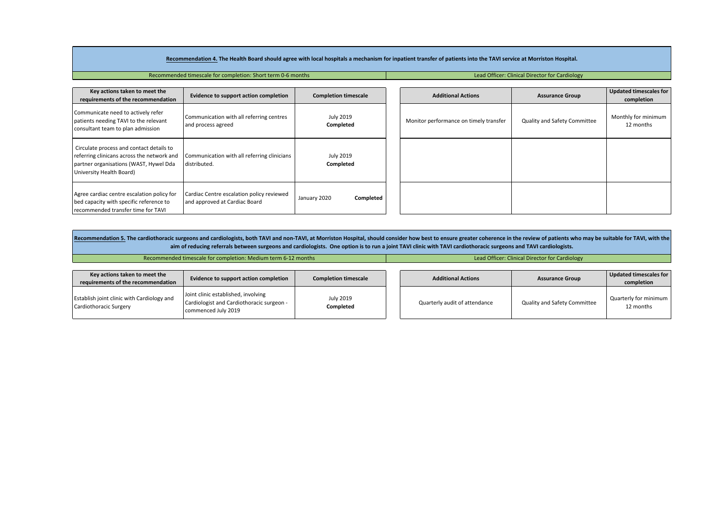#### Recommendation 4. The Health Board should agree with local hospitals a mechanism for inpatient transfer of patients into the TAVI service at Morriston Hospital.

Recommended timescale for completion: Short term 0-6 months Lead Officer: Clinical Director for Cardiology

| Key actions taken to meet the<br>requirements of the recommendation                                                                                          | Evidence to support action completion                                      | <b>Completion timescale</b>   | <b>Additional Actions</b>              | <b>Assurance Group</b>       | Updated timescales for<br>completion |
|--------------------------------------------------------------------------------------------------------------------------------------------------------------|----------------------------------------------------------------------------|-------------------------------|----------------------------------------|------------------------------|--------------------------------------|
| Communicate need to actively refer<br>patients needing TAVI to the relevant<br>consultant team to plan admission                                             | Communication with all referring centres<br>and process agreed             | <b>July 2019</b><br>Completed | Monitor performance on timely transfer | Quality and Safety Committee | Monthly for minimum<br>12 months     |
| Circulate process and contact details to<br>referring clinicans across the network and<br>partner organisations (WAST, Hywel Dda<br>University Health Board) | Communication with all referring clinicians<br>distributed.                | <b>July 2019</b><br>Completed |                                        |                              |                                      |
| Agree cardiac centre escalation policy for<br>bed capacity with specific reference to<br>recommended transfer time for TAVI                                  | Cardiac Centre escalation policy reviewed<br>and approved at Cardiac Board | Completed<br>January 2020     |                                        |                              |                                      |

Recommendation 5. The cardiothoracic surgeons and cardiologists, both TAVI and non-TAVI, at Morriston Hospital, should consider how best to ensure greater coherence in the review of patients who may be suitable for TAVI, w aim of reducing referrals between surgeons and cardiologists. One option is to run a joint TAVI clinic with TAVI cardiothoracic surgeons and TAVI cardiologists.

Recommended timescale for completion: Medium term 6-12 months Lead Officer: Clinical Director for Cardiology

| Key actions taken to meet the<br>requirements of the recommendation  | Evidence to support action completion                                                                   | <b>Completion timescale</b> | <b>Additional Actions</b>     | <b>Assurance Group</b>       | Updated timescales for<br>completion |
|----------------------------------------------------------------------|---------------------------------------------------------------------------------------------------------|-----------------------------|-------------------------------|------------------------------|--------------------------------------|
| Establish joint clinic with Cardiology and<br>Cardiothoracic Surgery | Joint clinic established, involving<br>Cardiologist and Cardiothoracic surgeon -<br>commenced July 2019 | July 2019<br>Completed      | Quarterly audit of attendance | Quality and Safety Committee | Quarterly for minimum<br>12 months   |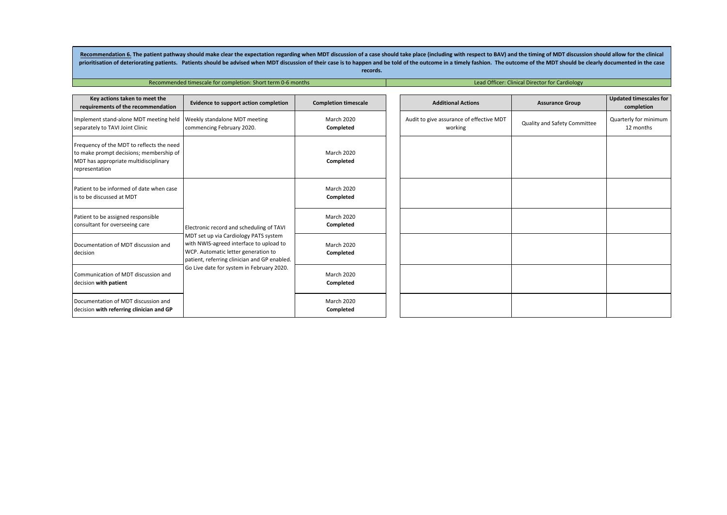Recommendation 6. The patient pathway should make clear the expectation regarding when MDT discussion of a case should take place (including with respect to BAV) and the timing of MDT discussion should allow for the clinic prioritisation of deteriorating patients. Patients should be advised when MDT discussion of their case is to happen and be told of the outcome in a timely fashion. The outcome of the MDT should be clearly documented in the **records.**

Recommended timescale for completion: Short term 0-6 months Lead Officer: Clinical Director for Cardiology

| Key actions taken to meet the<br>requirements of the recommendation                                                                             | Evidence to support action completion                                                                                                                                                                                                                            | <b>Completion timescale</b>    | <b>Additional Actions</b>                           | <b>Assurance Group</b>       | <b>Updated timescales for</b><br>completion |
|-------------------------------------------------------------------------------------------------------------------------------------------------|------------------------------------------------------------------------------------------------------------------------------------------------------------------------------------------------------------------------------------------------------------------|--------------------------------|-----------------------------------------------------|------------------------------|---------------------------------------------|
| Implement stand-alone MDT meeting held<br>separately to TAVI Joint Clinic                                                                       | Weekly standalone MDT meeting<br>commencing February 2020.                                                                                                                                                                                                       | <b>March 2020</b><br>Completed | Audit to give assurance of effective MDT<br>working | Quality and Safety Committee | Quarterly for minimum<br>12 months          |
| Frequency of the MDT to reflects the need<br>to make prompt decisions; membership of<br>MDT has appropriate multidisciplinary<br>representation |                                                                                                                                                                                                                                                                  | <b>March 2020</b><br>Completed |                                                     |                              |                                             |
| Patient to be informed of date when case<br>is to be discussed at MDT                                                                           |                                                                                                                                                                                                                                                                  | <b>March 2020</b><br>Completed |                                                     |                              |                                             |
| Patient to be assigned responsible<br>consultant for overseeing care                                                                            | Electronic record and scheduling of TAVI<br>MDT set up via Cardiology PATS system<br>with NWIS-agreed interface to upload to<br>WCP. Automatic letter generation to<br>patient, referring clinician and GP enabled.<br>Go Live date for system in February 2020. | <b>March 2020</b><br>Completed |                                                     |                              |                                             |
| Documentation of MDT discussion and<br>decision                                                                                                 |                                                                                                                                                                                                                                                                  | <b>March 2020</b><br>Completed |                                                     |                              |                                             |
| Communication of MDT discussion and<br>decision with patient                                                                                    |                                                                                                                                                                                                                                                                  | <b>March 2020</b><br>Completed |                                                     |                              |                                             |
| Documentation of MDT discussion and<br>decision with referring clinician and GP                                                                 |                                                                                                                                                                                                                                                                  | <b>March 2020</b><br>Completed |                                                     |                              |                                             |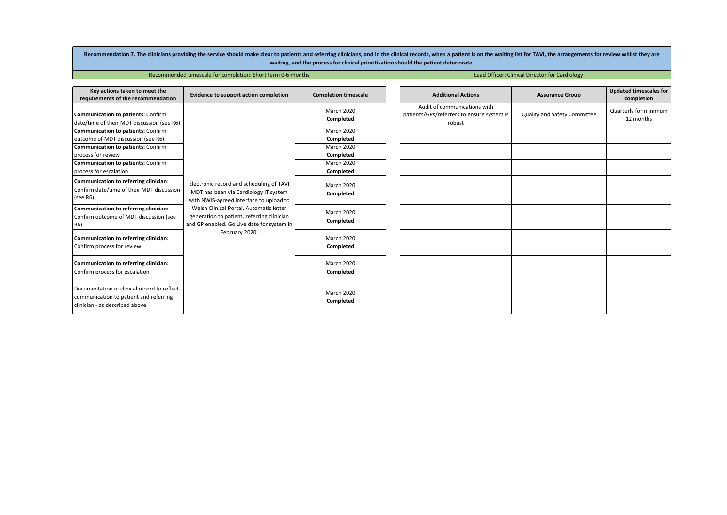Recommendation 7. The clinicians providing the service should make clear to patients and referring clinicians, and in the clinical records, when a patient is on the waiting list for TAVI, the arrangements for review whilst **waiting, and the process for clinical prioritisation should the patient deteriorate.**

Recommended timescale for completion: Short term 0-6 months Lead Officer: Clinical Director for Cardiology

| Key actions taken to meet the<br>requirements of the recommendation                                                     | Evidence to support action completion                                                                                               | <b>Completion timescale</b>    | <b>Additional Actions</b>                                                            | <b>Assurance Group</b>       | <b>Updated timescales for</b><br>completion |
|-------------------------------------------------------------------------------------------------------------------------|-------------------------------------------------------------------------------------------------------------------------------------|--------------------------------|--------------------------------------------------------------------------------------|------------------------------|---------------------------------------------|
| Communication to patients: Confirm<br>date/time of their MDT discussion (see R6)                                        |                                                                                                                                     | <b>March 2020</b><br>Completed | Audit of communications with<br>patients/GPs/referrers to ensure system is<br>robust | Quality and Safety Committee | Quarterly for minimum<br>12 months          |
| Communication to patients: Confirm                                                                                      |                                                                                                                                     | March 2020                     |                                                                                      |                              |                                             |
| outcome of MDT discussion (see R6)                                                                                      |                                                                                                                                     | Completed                      |                                                                                      |                              |                                             |
| <b>Communication to patients: Confirm</b>                                                                               |                                                                                                                                     | <b>March 2020</b>              |                                                                                      |                              |                                             |
| process for review                                                                                                      |                                                                                                                                     | Completed                      |                                                                                      |                              |                                             |
| Communication to patients: Confirm                                                                                      |                                                                                                                                     | <b>March 2020</b>              |                                                                                      |                              |                                             |
| process for escalation                                                                                                  |                                                                                                                                     | Completed                      |                                                                                      |                              |                                             |
| Communication to referring clinician:<br>Confirm date/time of their MDT discussion<br>(see R6)                          | Electronic record and scheduling of TAVI<br>MDT has been via Cardiology IT system<br>with NWIS-agreed interface to upload to        | <b>March 2020</b><br>Completed |                                                                                      |                              |                                             |
| Communication to referring clinician:<br>Confirm outcome of MDT discussion (see<br>R6)                                  | Welsh Clinical Portal, Automatic letter<br>generation to patient, referring clinician<br>and GP enabled. Go Live date for system in | <b>March 2020</b><br>Completed |                                                                                      |                              |                                             |
| Communication to referring clinician:<br>Confirm process for review                                                     | February 2020.                                                                                                                      | <b>March 2020</b><br>Completed |                                                                                      |                              |                                             |
| Communication to referring clinician:<br>Confirm process for escalation                                                 |                                                                                                                                     | <b>March 2020</b><br>Completed |                                                                                      |                              |                                             |
| Documentation in clinical record to reflect<br>communication to patient and referring<br>clinician - as described above |                                                                                                                                     | <b>March 2020</b><br>Completed |                                                                                      |                              |                                             |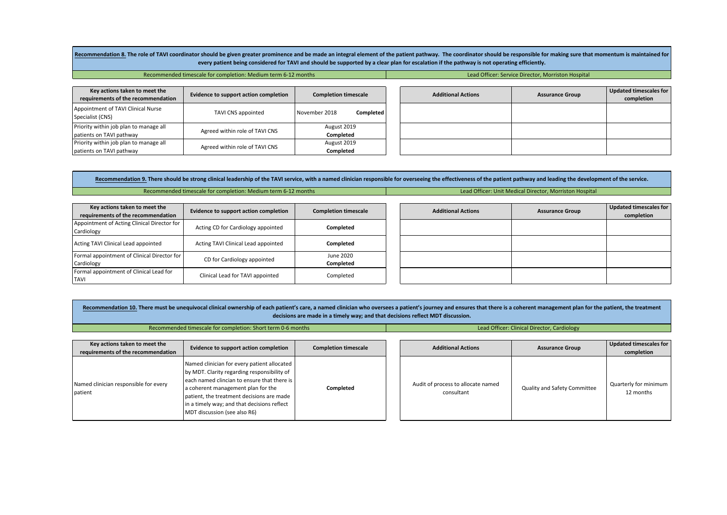Recommendation 8. The role of TAVI coordinator should be given greater prominence and be made an integral element of the patient pathway. The coordinator should be responsible for making sure that momentum is maintained fo every patient being considered for TAVI and should be supported by a clear plan for escalation if the pathway is not operating efficiently.

|  | Recommended timescale for completion: Medium term 6-12 months |  |
|--|---------------------------------------------------------------|--|
|--|---------------------------------------------------------------|--|

**Lead Officer: Service Director, Morriston Hospital** 

**Updated timescales for completion**

| Key actions taken to meet the<br>requirements of the recommendation | Evidence to support action completion | <b>Completion timescale</b>     |  | <b>Additional Actions</b> | <b>Assurance Group</b> |
|---------------------------------------------------------------------|---------------------------------------|---------------------------------|--|---------------------------|------------------------|
| Appointment of TAVI Clinical Nurse<br>Specialist (CNS)              | TAVI CNS appointed                    | Completed<br>November 2018      |  |                           |                        |
| Priority within job plan to manage all<br>patients on TAVI pathway  | Agreed within role of TAVI CNS        | August 2019<br><b>Completed</b> |  |                           |                        |
| Priority within job plan to manage all<br>patients on TAVI pathway  | Agreed within role of TAVI CNS        | August 2019<br>Completed        |  |                           |                        |

Recommendation 9. There should be strong clinical leadership of the TAVI service, with a named clinician responsible for overseeing the effectiveness of the patient pathway and leading the development of the service. Recommended timescale for completion: Medium term 6-12 months Lead Officer: Unit Medical Director, Morriston Hospital

| Key actions taken to meet the<br>requirements of the recommendation | Evidence to support action completion | <b>Completion timescale</b> | <b>Additional Actions</b> | <b>Assurance Group</b> | Updated timescales for<br>completion |
|---------------------------------------------------------------------|---------------------------------------|-----------------------------|---------------------------|------------------------|--------------------------------------|
| Appointment of Acting Clinical Director for<br>Cardiology           | Acting CD for Cardiology appointed    | Completed                   |                           |                        |                                      |
| Acting TAVI Clinical Lead appointed                                 | Acting TAVI Clinical Lead appointed   | Completed                   |                           |                        |                                      |
| Formal appointment of Clinical Director for<br>Cardiology           | CD for Cardiology appointed           | June 2020<br>Completed      |                           |                        |                                      |
| Formal appointment of Clinical Lead for<br><b>TAVI</b>              | Clinical Lead for TAVI appointed      | Completed                   |                           |                        |                                      |

Recommendation 10. There must be unequivocal clinical ownership of each patient's care, a named clinician who oversees a patient's journey and ensures that there is a coherent management plan for the patient, the treatment **decisions are made in a timely way; and that decisions reflect MDT discussion.**

|                                                  | Recommended timescale for completion: Short term 0-6 months                                                                                                                                                                                                                                                 | Lead Officer: Clinical Director, Cardiology |                                                  |                              |                                    |  |  |
|--------------------------------------------------|-------------------------------------------------------------------------------------------------------------------------------------------------------------------------------------------------------------------------------------------------------------------------------------------------------------|---------------------------------------------|--------------------------------------------------|------------------------------|------------------------------------|--|--|
|                                                  |                                                                                                                                                                                                                                                                                                             |                                             |                                                  |                              |                                    |  |  |
| Key actions taken to meet the                    | Evidence to support action completion                                                                                                                                                                                                                                                                       | <b>Completion timescale</b>                 | <b>Additional Actions</b>                        | <b>Assurance Group</b>       | Updated timescales for             |  |  |
| requirements of the recommendation               |                                                                                                                                                                                                                                                                                                             |                                             |                                                  |                              | completion                         |  |  |
| Named clinician responsible for every<br>patient | Named clinician for every patient allocated<br>by MDT. Clarity regarding responsibility of<br>each named clincian to ensure that there is<br>a coherent management plan for the<br>patient, the treatment decisions are made<br>in a timely way; and that decisions reflect<br>MDT discussion (see also R6) | Completed                                   | Audit of process to allocate named<br>consultant | Quality and Safety Committee | Quarterly for minimum<br>12 months |  |  |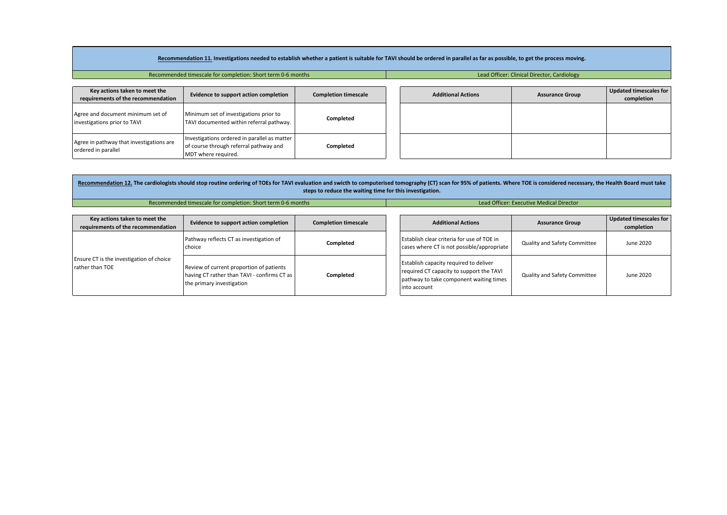|                                                                                                            | Recommendation 11. Investigations needed to establish whether a patient is suitable for TAVI should be ordered in parallel as far as possible, to get the process moving. |                             |  |                           |                        |                                      |  |  |  |  |  |  |
|------------------------------------------------------------------------------------------------------------|---------------------------------------------------------------------------------------------------------------------------------------------------------------------------|-----------------------------|--|---------------------------|------------------------|--------------------------------------|--|--|--|--|--|--|
| Recommended timescale for completion: Short term 0-6 months<br>Lead Officer: Clinical Director, Cardiology |                                                                                                                                                                           |                             |  |                           |                        |                                      |  |  |  |  |  |  |
| Key actions taken to meet the<br>requirements of the recommendation                                        | Evidence to support action completion                                                                                                                                     | <b>Completion timescale</b> |  | <b>Additional Actions</b> | <b>Assurance Group</b> | Updated timescales for<br>completion |  |  |  |  |  |  |
| Agree and document minimum set of<br>investigations prior to TAVI                                          | Minimum set of investigations prior to<br>TAVI documented within referral pathway.                                                                                        | Completed                   |  |                           |                        |                                      |  |  |  |  |  |  |
| Agree in pathway that investigations are<br>ordered in parallel                                            | Investigations ordered in parallel as matter<br>of course through referral pathway and<br>MDT where required.                                                             | Completed                   |  |                           |                        |                                      |  |  |  |  |  |  |

|                                                                     | Recommendation 12. The cardiologists should stop routine ordering of TOEs for TAVI evaluation and swicth to computerised tomography (CT) scan for 95% of patients. Where TOE is considered necessary, the Health Board must ta<br>steps to reduce the waiting time for this investigation. |                             |  |                                                                                                                                               |                              |                                      |  |  |  |  |  |  |
|---------------------------------------------------------------------|--------------------------------------------------------------------------------------------------------------------------------------------------------------------------------------------------------------------------------------------------------------------------------------------|-----------------------------|--|-----------------------------------------------------------------------------------------------------------------------------------------------|------------------------------|--------------------------------------|--|--|--|--|--|--|
|                                                                     | Recommended timescale for completion: Short term 0-6 months                                                                                                                                                                                                                                |                             |  | <b>Lead Officer: Executive Medical Director</b>                                                                                               |                              |                                      |  |  |  |  |  |  |
| Key actions taken to meet the<br>requirements of the recommendation | Evidence to support action completion                                                                                                                                                                                                                                                      | <b>Completion timescale</b> |  | <b>Additional Actions</b>                                                                                                                     | <b>Assurance Group</b>       | Updated timescales for<br>completion |  |  |  |  |  |  |
| Ensure CT is the investigation of choice<br>rather than TOE         | Pathway reflects CT as investigation of<br>choice                                                                                                                                                                                                                                          | Completed<br>Completed      |  | Establish clear criteria for use of TOE in<br>cases where CT is not possible/appropriate                                                      | Quality and Safety Committee | June 2020                            |  |  |  |  |  |  |
|                                                                     | Review of current proportion of patients<br>having CT rather than TAVI - confirms CT as<br>the primary investigation                                                                                                                                                                       |                             |  | Establish capacity required to deliver<br>required CT capacity to support the TAVI<br>pathway to take component waiting times<br>into account | Quality and Safety Committee | June 2020                            |  |  |  |  |  |  |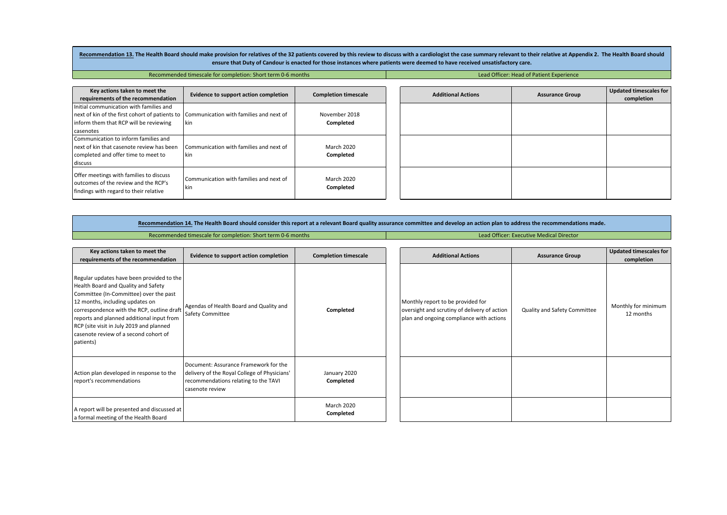Recommendation 13. The Health Board should make provision for relatives of the 32 patients covered by this review to discuss with a cardiologist the case summary relevant to their relative at Appendix 2. The Health Board s ensure that Duty of Candour is enacted for those instances where patients were deemed to have received unsatisfactory care.

Recommended timescale for completion: Short term 0-6 months Lead Officer: Head of Patient Experience

| Key actions taken to meet the                                                                                              | Evidence to support action completion          | <b>Completion timescale</b> |
|----------------------------------------------------------------------------------------------------------------------------|------------------------------------------------|-----------------------------|
| requirements of the recommendation                                                                                         |                                                |                             |
| Initial communication with families and                                                                                    |                                                |                             |
| next of kin of the first cohort of patients to   Communication with families and next of                                   |                                                | November 2018               |
| inform them that RCP will be reviewing                                                                                     | kin                                            | Completed                   |
| l casenotes                                                                                                                |                                                |                             |
| Communication to inform families and                                                                                       |                                                |                             |
| next of kin that casenote review has been                                                                                  | Communication with families and next of        | March 2020                  |
| completed and offer time to meet to                                                                                        | <b>I</b> kin                                   | Completed                   |
| discuss                                                                                                                    |                                                |                             |
| Offer meetings with families to discuss<br>loutcomes of the review and the RCP's<br>findings with regard to their relative | Communication with families and next of<br>kin | March 2020<br>Completed     |

Recommendation 14. The Health Board should consider this report at a relevant Board quality assurance committee and develop an action plan to address the recommendations made.

Recommended timescale for completion: Short term 0-6 months Lead Officer: Executive Medical Director

| Key actions taken to meet the<br>requirements of the recommendation                                                                                                                                                                                                                                                                                        | Evidence to support action completion                                                                                                            | <b>Completion timescale</b> | <b>Additional Actions</b>                                                                                                     | <b>Assurance Group</b>       | <b>Updated timescales for</b><br>completion |
|------------------------------------------------------------------------------------------------------------------------------------------------------------------------------------------------------------------------------------------------------------------------------------------------------------------------------------------------------------|--------------------------------------------------------------------------------------------------------------------------------------------------|-----------------------------|-------------------------------------------------------------------------------------------------------------------------------|------------------------------|---------------------------------------------|
| Regular updates have been provided to the<br>Health Board and Quality and Safety<br>Committee (In-Committee) over the past<br>12 months, including updates on<br>correspondence with the RCP, outline draft<br>reports and planned additional input from<br>RCP (site visit in July 2019 and planned<br>casenote review of a second cohort of<br>patients) | Agendas of Health Board and Quality and<br><b>Safety Committee</b>                                                                               | Completed                   | Monthly report to be provided for<br>oversight and scrutiny of delivery of action<br>plan and ongoing compliance with actions | Quality and Safety Committee | Monthly for minimum<br>12 months            |
| Action plan developed in response to the<br>report's recommendations                                                                                                                                                                                                                                                                                       | Document: Assurance Framework for the<br>delivery of the Royal College of Physicians'<br>recommendations relating to the TAVI<br>casenote review | January 2020<br>Completed   |                                                                                                                               |                              |                                             |
| A report will be presented and discussed at<br>a formal meeting of the Health Board                                                                                                                                                                                                                                                                        |                                                                                                                                                  | March 2020<br>Completed     |                                                                                                                               |                              |                                             |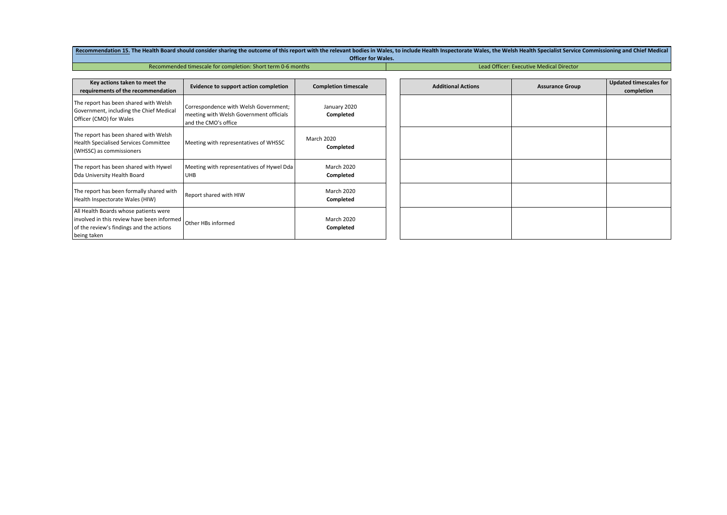Recommendation 15. The Health Board should consider sharing the outcome of this report with the relevant bodies in Wales, to include Health Inspectorate Wales, the Welsh Health Specialist Service Commissioning and Chief Me **Officer for Wales.**

#### Recommended timescale for completion: Short term 0-6 months Lead Officer: Executive Medical Director

| Key actions taken to meet the<br>requirements of the recommendation                                                                            | <b>Evidence to support action completion</b>                                                             | <b>Completion timescale</b>    |
|------------------------------------------------------------------------------------------------------------------------------------------------|----------------------------------------------------------------------------------------------------------|--------------------------------|
| The report has been shared with Welsh<br>Government, including the Chief Medical<br>Officer (CMO) for Wales                                    | Correspondence with Welsh Government;<br>meeting with Welsh Government officials<br>and the CMO's office | January 2020<br>Completed      |
| The report has been shared with Welsh<br><b>Health Specialised Services Committee</b><br>(WHSSC) as commissioners                              | Meeting with representatives of WHSSC                                                                    | <b>March 2020</b><br>Completed |
| The report has been shared with Hywel<br>Dda University Health Board                                                                           | Meeting with representatives of Hywel Dda<br><b>UHB</b>                                                  | <b>March 2020</b><br>Completed |
| The report has been formally shared with<br>Health Inspectorate Wales (HIW)                                                                    | Report shared with HIW                                                                                   | <b>March 2020</b><br>Completed |
| All Health Boards whose patients were<br>involved in this review have been informed<br>of the review's findings and the actions<br>being taken | Other HBs informed                                                                                       | <b>March 2020</b><br>Completed |

| ale | <b>Additional Actions</b> | <b>Assurance Group</b> | <b>Updated timescales for</b><br>completion |
|-----|---------------------------|------------------------|---------------------------------------------|
|     |                           |                        |                                             |
|     |                           |                        |                                             |
|     |                           |                        |                                             |
|     |                           |                        |                                             |
|     |                           |                        |                                             |
|     |                           |                        |                                             |
|     |                           |                        |                                             |
|     |                           |                        |                                             |